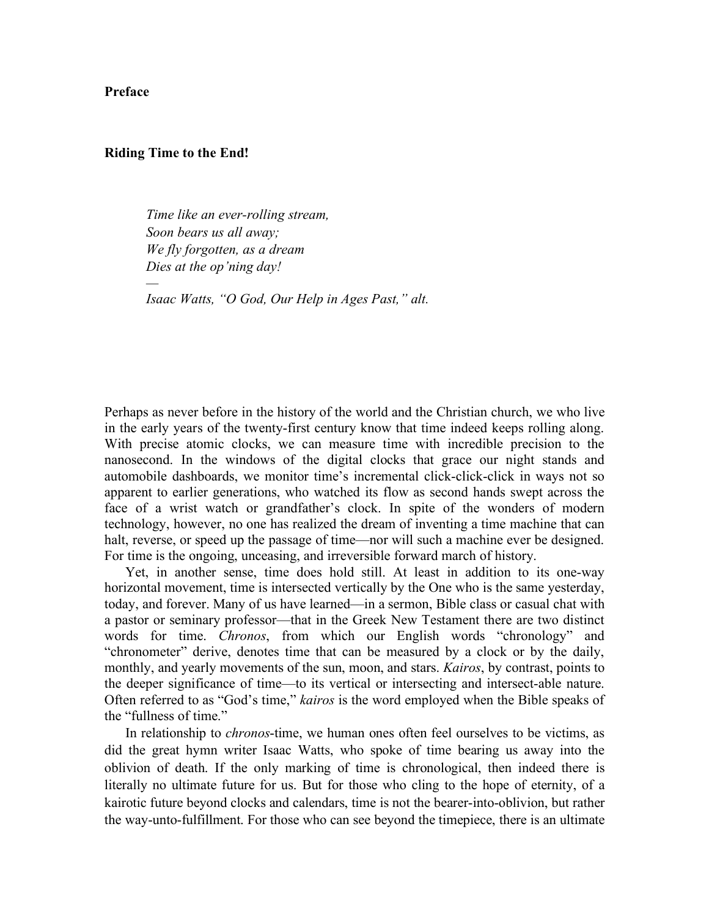**Preface**

## **Riding Time to the End!**

*—*

*Time like an ever-rolling stream, Soon bears us all away; We fly forgotten, as a dream Dies at the op'ning day!*

*Isaac Watts, "O God, Our Help in Ages Past," alt.*

Perhaps as never before in the history of the world and the Christian church, we who live in the early years of the twenty-first century know that time indeed keeps rolling along. With precise atomic clocks, we can measure time with incredible precision to the nanosecond. In the windows of the digital clocks that grace our night stands and automobile dashboards, we monitor time's incremental click-click-click in ways not so apparent to earlier generations, who watched its flow as second hands swept across the face of a wrist watch or grandfather's clock. In spite of the wonders of modern technology, however, no one has realized the dream of inventing a time machine that can halt, reverse, or speed up the passage of time—nor will such a machine ever be designed. For time is the ongoing, unceasing, and irreversible forward march of history.

Yet, in another sense, time does hold still. At least in addition to its one-way horizontal movement, time is intersected vertically by the One who is the same yesterday, today, and forever. Many of us have learned—in a sermon, Bible class or casual chat with a pastor or seminary professor—that in the Greek New Testament there are two distinct words for time. *Chronos*, from which our English words "chronology" and "chronometer" derive, denotes time that can be measured by a clock or by the daily, monthly, and yearly movements of the sun, moon, and stars. *Kairos*, by contrast, points to the deeper significance of time—to its vertical or intersecting and intersect-able nature. Often referred to as "God's time," *kairos* is the word employed when the Bible speaks of the "fullness of time"

In relationship to *chronos*-time, we human ones often feel ourselves to be victims, as did the great hymn writer Isaac Watts, who spoke of time bearing us away into the oblivion of death. If the only marking of time is chronological, then indeed there is literally no ultimate future for us. But for those who cling to the hope of eternity, of a kairotic future beyond clocks and calendars, time is not the bearer-into-oblivion, but rather the way-unto-fulfillment. For those who can see beyond the timepiece, there is an ultimate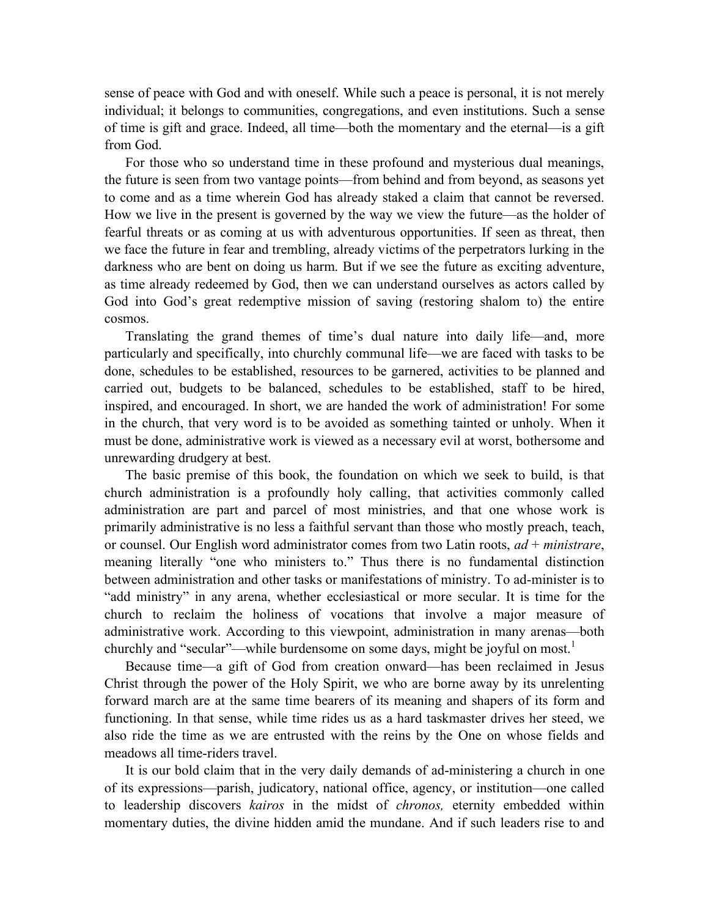sense of peace with God and with oneself. While such a peace is personal, it is not merely individual; it belongs to communities, congregations, and even institutions. Such a sense of time is gift and grace. Indeed, all time—both the momentary and the eternal—is a gift from God.

For those who so understand time in these profound and mysterious dual meanings, the future is seen from two vantage points—from behind and from beyond, as seasons yet to come and as a time wherein God has already staked a claim that cannot be reversed. How we live in the present is governed by the way we view the future—as the holder of fearful threats or as coming at us with adventurous opportunities. If seen as threat, then we face the future in fear and trembling, already victims of the perpetrators lurking in the darkness who are bent on doing us harm. But if we see the future as exciting adventure, as time already redeemed by God, then we can understand ourselves as actors called by God into God's great redemptive mission of saving (restoring shalom to) the entire cosmos.

Translating the grand themes of time's dual nature into daily life—and, more particularly and specifically, into churchly communal life—we are faced with tasks to be done, schedules to be established, resources to be garnered, activities to be planned and carried out, budgets to be balanced, schedules to be established, staff to be hired, inspired, and encouraged. In short, we are handed the work of administration! For some in the church, that very word is to be avoided as something tainted or unholy. When it must be done, administrative work is viewed as a necessary evil at worst, bothersome and unrewarding drudgery at best.

The basic premise of this book, the foundation on which we seek to build, is that church administration is a profoundly holy calling, that activities commonly called administration are part and parcel of most ministries, and that one whose work is primarily administrative is no less a faithful servant than those who mostly preach, teach, or counsel. Our English word administrator comes from two Latin roots, *ad* + *ministrare*, meaning literally "one who ministers to." Thus there is no fundamental distinction between administration and other tasks or manifestations of ministry. To ad-minister is to "add ministry" in any arena, whether ecclesiastical or more secular. It is time for the church to reclaim the holiness of vocations that involve a major measure of administrative work. According to this viewpoint, administration in many arenas—both churchly and "secular"—while burdensome on some days, might be joyful on most.<sup>1</sup>

Because time—a gift of God from creation onward—has been reclaimed in Jesus Christ through the power of the Holy Spirit, we who are borne away by its unrelenting forward march are at the same time bearers of its meaning and shapers of its form and functioning. In that sense, while time rides us as a hard taskmaster drives her steed, we also ride the time as we are entrusted with the reins by the One on whose fields and meadows all time-riders travel.

It is our bold claim that in the very daily demands of ad-ministering a church in one of its expressions—parish, judicatory, national office, agency, or institution—one called to leadership discovers *kairos* in the midst of *chronos,* eternity embedded within momentary duties, the divine hidden amid the mundane. And if such leaders rise to and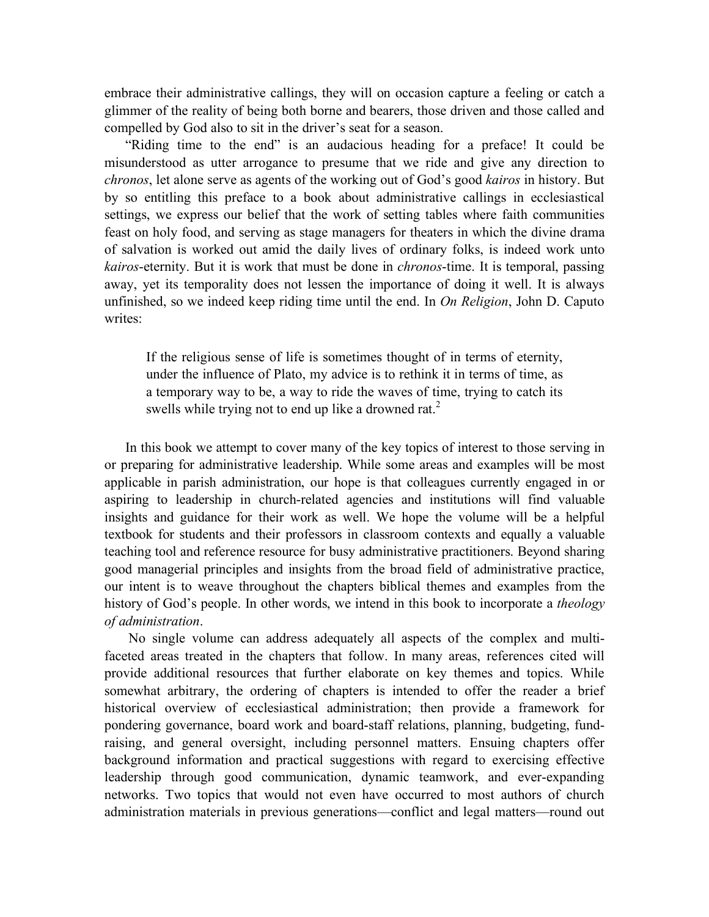embrace their administrative callings, they will on occasion capture a feeling or catch a glimmer of the reality of being both borne and bearers, those driven and those called and compelled by God also to sit in the driver's seat for a season.

"Riding time to the end" is an audacious heading for a preface! It could be misunderstood as utter arrogance to presume that we ride and give any direction to *chronos*, let alone serve as agents of the working out of God's good *kairos* in history. But by so entitling this preface to a book about administrative callings in ecclesiastical settings, we express our belief that the work of setting tables where faith communities feast on holy food, and serving as stage managers for theaters in which the divine drama of salvation is worked out amid the daily lives of ordinary folks, is indeed work unto *kairos*-eternity. But it is work that must be done in *chronos*-time. It is temporal, passing away, yet its temporality does not lessen the importance of doing it well. It is always unfinished, so we indeed keep riding time until the end. In *On Religion*, John D. Caputo writes:

If the religious sense of life is sometimes thought of in terms of eternity, under the influence of Plato, my advice is to rethink it in terms of time, as a temporary way to be, a way to ride the waves of time, trying to catch its swells while trying not to end up like a drowned rat.<sup>2</sup>

In this book we attempt to cover many of the key topics of interest to those serving in or preparing for administrative leadership. While some areas and examples will be most applicable in parish administration, our hope is that colleagues currently engaged in or aspiring to leadership in church-related agencies and institutions will find valuable insights and guidance for their work as well. We hope the volume will be a helpful textbook for students and their professors in classroom contexts and equally a valuable teaching tool and reference resource for busy administrative practitioners. Beyond sharing good managerial principles and insights from the broad field of administrative practice, our intent is to weave throughout the chapters biblical themes and examples from the history of God's people. In other words, we intend in this book to incorporate a *theology of administration*.

No single volume can address adequately all aspects of the complex and multifaceted areas treated in the chapters that follow. In many areas, references cited will provide additional resources that further elaborate on key themes and topics. While somewhat arbitrary, the ordering of chapters is intended to offer the reader a brief historical overview of ecclesiastical administration; then provide a framework for pondering governance, board work and board-staff relations, planning, budgeting, fundraising, and general oversight, including personnel matters. Ensuing chapters offer background information and practical suggestions with regard to exercising effective leadership through good communication, dynamic teamwork, and ever-expanding networks. Two topics that would not even have occurred to most authors of church administration materials in previous generations—conflict and legal matters—round out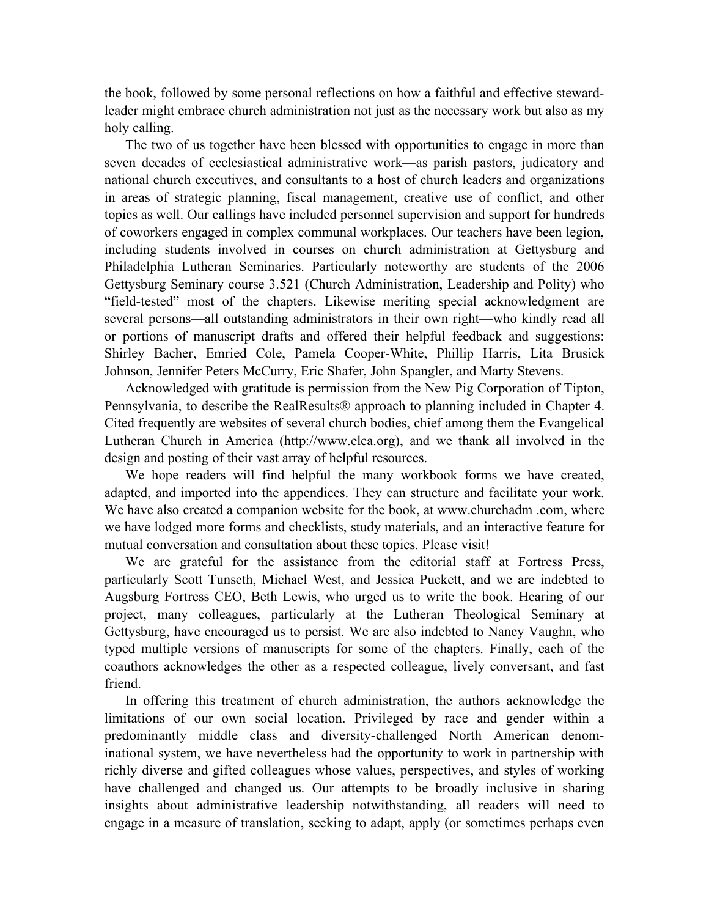the book, followed by some personal reflections on how a faithful and effective stewardleader might embrace church administration not just as the necessary work but also as my holy calling.

The two of us together have been blessed with opportunities to engage in more than seven decades of ecclesiastical administrative work—as parish pastors, judicatory and national church executives, and consultants to a host of church leaders and organizations in areas of strategic planning, fiscal management, creative use of conflict, and other topics as well. Our callings have included personnel supervision and support for hundreds of coworkers engaged in complex communal workplaces. Our teachers have been legion, including students involved in courses on church administration at Gettysburg and Philadelphia Lutheran Seminaries. Particularly noteworthy are students of the 2006 Gettysburg Seminary course 3.521 (Church Administration, Leadership and Polity) who "field-tested" most of the chapters. Likewise meriting special acknowledgment are several persons—all outstanding administrators in their own right—who kindly read all or portions of manuscript drafts and offered their helpful feedback and suggestions: Shirley Bacher, Emried Cole, Pamela Cooper-White, Phillip Harris, Lita Brusick Johnson, Jennifer Peters McCurry, Eric Shafer, John Spangler, and Marty Stevens.

Acknowledged with gratitude is permission from the New Pig Corporation of Tipton, Pennsylvania, to describe the RealResults® approach to planning included in Chapter 4. Cited frequently are websites of several church bodies, chief among them the Evangelical Lutheran Church in America (http://www.elca.org), and we thank all involved in the design and posting of their vast array of helpful resources.

We hope readers will find helpful the many workbook forms we have created, adapted, and imported into the appendices. They can structure and facilitate your work. We have also created a companion website for the book, at www.churchadm .com, where we have lodged more forms and checklists, study materials, and an interactive feature for mutual conversation and consultation about these topics. Please visit!

We are grateful for the assistance from the editorial staff at Fortress Press, particularly Scott Tunseth, Michael West, and Jessica Puckett, and we are indebted to Augsburg Fortress CEO, Beth Lewis, who urged us to write the book. Hearing of our project, many colleagues, particularly at the Lutheran Theological Seminary at Gettysburg, have encouraged us to persist. We are also indebted to Nancy Vaughn, who typed multiple versions of manuscripts for some of the chapters. Finally, each of the coauthors acknowledges the other as a respected colleague, lively conversant, and fast friend.

In offering this treatment of church administration, the authors acknowledge the limitations of our own social location. Privileged by race and gender within a predominantly middle class and diversity-challenged North American denominational system, we have nevertheless had the opportunity to work in partnership with richly diverse and gifted colleagues whose values, perspectives, and styles of working have challenged and changed us. Our attempts to be broadly inclusive in sharing insights about administrative leadership notwithstanding, all readers will need to engage in a measure of translation, seeking to adapt, apply (or sometimes perhaps even